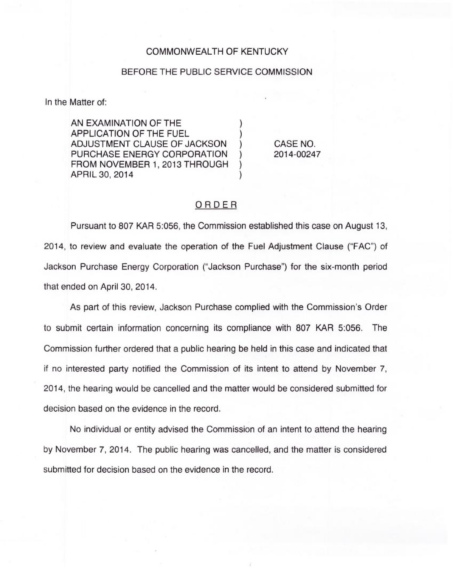## COMMONWEALTH OF KENTUCKY

## BEFORE THE PUBLIC SERVICE COMMISSION

In the Matter of:

AN EXAMINATION OF THE APPLICATION OF THE FUEL ) ADJUSTMENT CLAUSE OF JACKSON ) PURCHASE ENERGY CORPORATION FROM NOVEMBER 1, 2013 THROUGH APRIL 30, 2014 )

CASE NO. 2014-00247

## ORDER

Pursuant to 807 KAR 5:056, the Commission established this case on August 13, 2014, to review and evaluate the operation of the Fuel Adjustment Clause ("FAC") of Jackson Purchase Energy Corporation ("Jackson Purchase") for the six-month period that ended on April 30, 2014.

As part of this review, Jackson Purchase complied with the Commission's Order to submit certain information concerning its compliance with 807 KAR 5:056. The Commission further ordered that a public hearing be held in this case and indicated that if no interested party notified the Commission of its intent to attend by November 7, 2014, the hearing would be cancelled and the matter would be considered submitted for decision based on the evidence in the record.

No individual or entity advised the Commission of an intent to attend the hearing by November 7, 2014. The public hearing was cancelled, and the matter is considered submitted for decision based on the evidence in the record.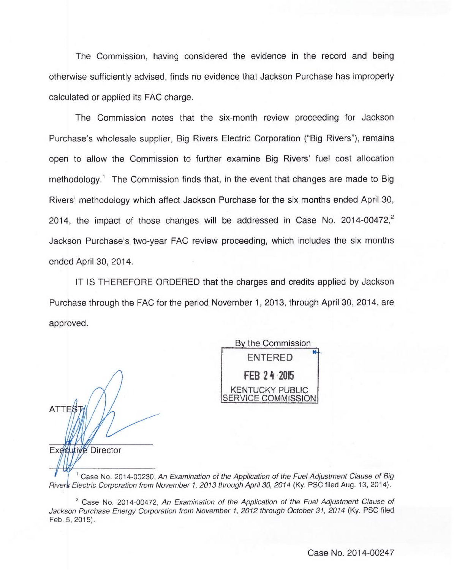The Commission, having considered the evidence in the record and being otherwise sufficiently advised, finds no evidence that Jackson Purchase has improperly calculated or applied its FAC charge.

The Commission notes that the six-month review proceeding for Jackson Purchase's wholesale supplier, Big Rivers Electric Corporation ("Big Rivers"), remains open to allow the Commission to further examine Big Rivers' fuel cost allocation methodology.<sup>1</sup> The Commission finds that, in the event that changes are made to Big Rivers' methodology which affect Jackson Purchase for the six months ended April 30, 2014, the impact of those changes will be addressed in Case No. 2014-00472, $\frac{2}{3}$ Jackson Purchase's two-year FAC review proceeding, which includes the six months ended April 30, 2014.

IT IS THEREFORE ORDERED that the charges and credits applied by Jackson Purchase through the FAC for the period November 1, 2013, through April 30, 2014, are approved.

ATTES Executive Director

By the Commission ENTERED **FEB 24 2015** KENTUCKY PUBLIC ERVICE COMMISSION

Case No. 2014-00230, An Examination of the Application of the Fuel Adjustment Clause of Big River's Electric Corporation from November 1, 2013 through April 30, 2014 (Ky. PSC filed Aug. 13, 2014).

 $2^2$  Case No. 2014-00472, An Examination of the Application of the Fuel Adjustment Clause of Jackson Purchase Energy Corporation from November 1, 2012 through October 31, 2014 (Ky. PSC filed Feb. 5, 2015).